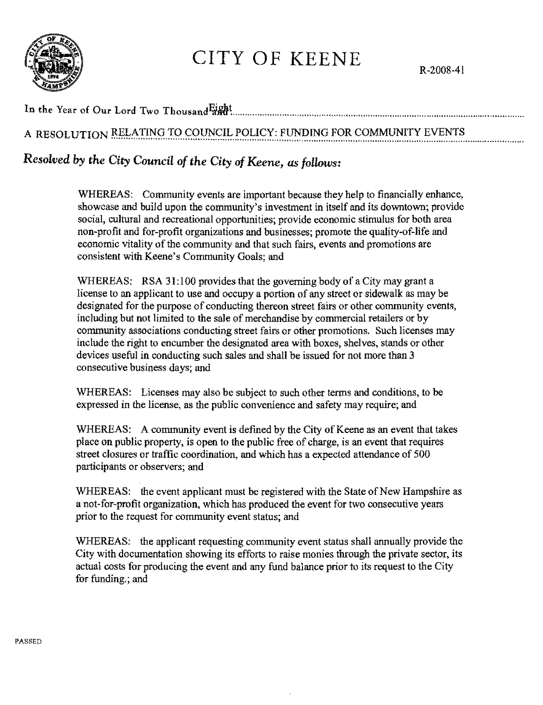

## CITY OF KEENE

R-2008-4l

In the Year of Our Lord Two Thousand Eight

## A RESOLUTION RELATING TO COUNCIL POLICY: FUNDING FOR COMMUNITY EVENTS

## *Resolved* by *the City Council* of *the City* of *Keene, as follows:*

WHEREAS: Community events are important because they help to financially enhance, showcase and build upon the community's investment in itself and its downtown; provide social, cultural and recreational opportunities; provide economic stimulus for both area non-profit and for-profit organizations and businesses; promote the quality-of-life and economic vitality of the community and that such fairs, events and promotions are consistent with Keene's Community Goals; and

WHEREAS: RSA 31:100 provides that the governing body of a City may grant a license to an applicant to use and occupy a portion of any street or sidewalk as may be designated for the purpose of conducting thereon street fairs or other community events, including but not limited to the sale 0f merchandise by commercial retailers or by community associations conducting street fairs or other promotions. Such licenses may include the right to encumber the designated area with boxes, shelves, stands or other devices useful in conducting such sales and shall be issued for not more than 3 consecutive business days; and

WHEREAS: Licenses may also be subject to such other terms and conditions, to be expressed in the license, as the public convenience and safety may require; and

WHEREAS: A community event is defmed by the City of Keene as an event that takes place on public property, is open to the public free of charge, is an event that requires street closures or traffic coordination, and which has a expected attendance of 500 participants or observers; and

WHEREAS: the event applicant must be registered with the State of New Hampshire as a not-for-profit organization, which has produced the event for two conseeutive years prior to the request for community event status; and

WHEREAS: the applicant requesting community event status shall annually provide the City with documentation showing its efforts to raise monies through the private sector, its actual costs for producing the event and any fund balance prior to its request to the City for funding.; and